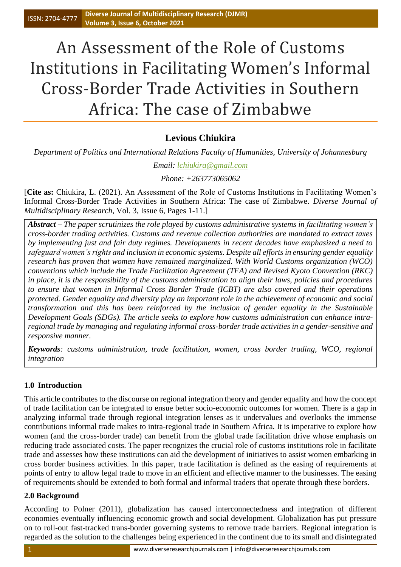# An Assessment of the Role of Customs Institutions in Facilitating Women's Informal Cross-Border Trade Activities in Southern Africa: The case of Zimbabwe

## **Levious Chiukira**

*Department of Politics and International Relations Faculty of Humanities, University of Johannesburg*

*Email: [lchiukira@gmail.com](mailto:lchiukira@gmail.com)*

*Phone: +263773065062*

[**Cite as:** Chiukira, L. (2021). An Assessment of the Role of Customs Institutions in Facilitating Women's Informal Cross-Border Trade Activities in Southern Africa: The case of Zimbabwe. *Diverse Journal of Multidisciplinary Research*, Vol. 3, Issue 6, Pages 1-11.]

*Abstract – The paper scrutinizes the role played by customs administrative systems in facilitating women's cross-border trading activities. Customs and revenue collection authorities are mandated to extract taxes by implementing just and fair duty regimes. Developments in recent decades have emphasized a need to safeguard women's rights and inclusion in economic systems. Despite all efforts in ensuring gender equality research has proven that women have remained marginalized. With World Customs organization (WCO) conventions which include the Trade Facilitation Agreement (TFA) and Revised Kyoto Convention (RKC) in place, it is the responsibility of the customs administration to align their laws, policies and procedures to ensure that women in Informal Cross Border Trade (ICBT) are also covered and their operations protected. Gender equality and diversity play an important role in the achievement of economic and social transformation and this has been reinforced by the inclusion of gender equality in the Sustainable Development Goals (SDGs). The article seeks to explore how customs administration can enhance intraregional trade by managing and regulating informal cross-border trade activities in a gender-sensitive and responsive manner.*

*Keywords: customs administration, trade facilitation, women, cross border trading, WCO, regional integration*

## **1.0 Introduction**

This article contributes to the discourse on regional integration theory and gender equality and how the concept of trade facilitation can be integrated to ensue better socio-economic outcomes for women. There is a gap in analyzing informal trade through regional integration lenses as it undervalues and overlooks the immense contributions informal trade makes to intra-regional trade in Southern Africa. It is imperative to explore how women (and the cross-border trade) can benefit from the global trade facilitation drive whose emphasis on reducing trade associated costs. The paper recognizes the crucial role of customs institutions role in facilitate trade and assesses how these institutions can aid the development of initiatives to assist women embarking in cross border business activities. In this paper, trade facilitation is defined as the easing of requirements at points of entry to allow legal trade to move in an efficient and effective manner to the businesses. The easing of requirements should be extended to both formal and informal traders that operate through these borders.

## **2.0 Background**

According to Polner (2011), globalization has caused interconnectedness and integration of different economies eventually influencing economic growth and social development. Globalization has put pressure on to roll-out fast-tracked trans-border governing systems to remove trade barriers. Regional integration is regarded as the solution to the challenges being experienced in the continent due to its small and disintegrated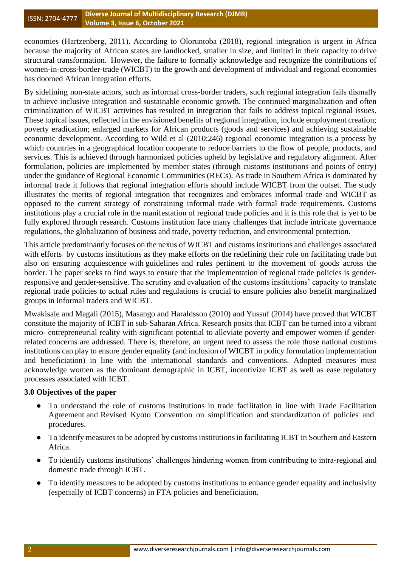economies (Hartzenberg, 2011). According to Oloruntoba (2018), regional integration is urgent in Africa because the majority of African states are landlocked, smaller in size, and limited in their capacity to drive structural transformation. However, the failure to formally acknowledge and recognize the contributions of women-in-cross-border-trade (WICBT) to the growth and development of individual and regional economies has doomed African integration efforts.

By sidelining non-state actors, such as informal cross-border traders, such regional integration fails dismally to achieve inclusive integration and sustainable economic growth. The continued marginalization and often criminalization of WICBT activities has resulted in integration that fails to address topical regional issues. These topical issues, reflected in the envisioned benefits of regional integration, include employment creation; poverty eradication; enlarged markets for African products (goods and services) and achieving sustainable economic development. According to Wild et al (2010:246) regional economic integration is a process by which countries in a geographical location cooperate to reduce barriers to the flow of people, products, and services. This is achieved through harmonized policies upheld by legislative and regulatory alignment. After formulation, policies are implemented by member states (through customs institutions and points of entry) under the guidance of Regional Economic Communities (RECs). As trade in Southern Africa is dominated by informal trade it follows that regional integration efforts should include WICBT from the outset. The study illustrates the merits of regional integration that recognizes and embraces informal trade and WICBT as opposed to the current strategy of constraining informal trade with formal trade requirements. Customs institutions play a crucial role in the manifestation of regional trade policies and it is this role that is yet to be fully explored through research. Customs institution face many challenges that include intricate governance regulations, the globalization of business and trade, poverty reduction, and environmental protection.

This article predominantly focuses on the nexus of WICBT and customs institutions and challenges associated with efforts by customs institutions as they make efforts on the redefining their role on facilitating trade but also on ensuring acquiescence with guidelines and rules pertinent to the movement of goods across the border. The paper seeks to find ways to ensure that the implementation of regional trade policies is genderresponsive and gender-sensitive. The scrutiny and evaluation of the customs institutions' capacity to translate regional trade policies to actual rules and regulations is crucial to ensure policies also benefit marginalized groups in informal traders and WICBT.

Mwakisale and Magali (2015), Masango and Haraldsson (2010) and Yussuf (2014) have proved that WICBT constitute the majority of ICBT in sub-Saharan Africa. Research posits that ICBT can be turned into a vibrant micro- entrepreneurial reality with significant potential to alleviate poverty and empower women if genderrelated concerns are addressed. There is, therefore, an urgent need to assess the role those national customs institutions can play to ensure gender equality (and inclusion of WICBT in policy formulation implementation and beneficiation) in line with the international standards and conventions. Adopted measures must acknowledge women as the dominant demographic in ICBT, incentivize ICBT as well as ease regulatory processes associated with ICBT.

## **3.0 Objectives of the paper**

- To understand the role of customs institutions in trade facilitation in line with Trade Facilitation Agreement and Revised Kyoto Convention on simplification and standardization of policies and procedures.
- To identify measures to be adopted by customs institutions in facilitating ICBT in Southern and Eastern Africa.
- To identify customs institutions' challenges hindering women from contributing to intra-regional and domestic trade through ICBT.
- To identify measures to be adopted by customs institutions to enhance gender equality and inclusivity (especially of ICBT concerns) in FTA policies and beneficiation.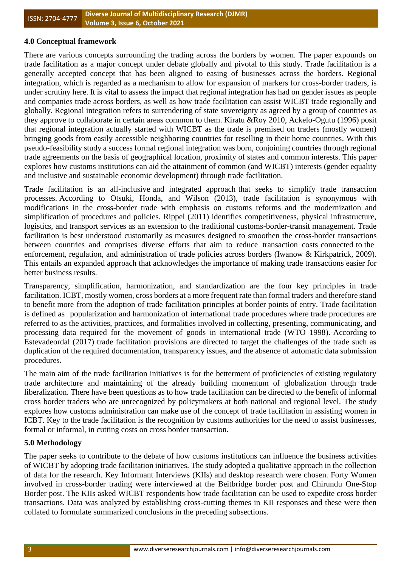#### **4.0 Conceptual framework**

There are various concepts surrounding the trading across the borders by women. The paper expounds on trade facilitation as a major concept under debate globally and pivotal to this study. Trade facilitation is a generally accepted concept that has been aligned to easing of businesses across the borders. Regional integration, which is regarded as a mechanism to allow for expansion of markers for cross-border traders, is under scrutiny here. It is vital to assess the impact that regional integration has had on gender issues as people and companies trade across borders, as well as how trade facilitation can assist WICBT trade regionally and globally. Regional integration refers to surrendering of state sovereignty as agreed by a group of countries as they approve to collaborate in certain areas common to them. Kiratu &Roy 2010, Ackelo-Ogutu (1996) posit that regional integration actually started with WICBT as the trade is premised on traders (mostly women) bringing goods from easily accessible neighboring countries for reselling in their home countries. With this pseudo-feasibility study a success formal regional integration was born, conjoining countries through regional trade agreements on the basis of geographical location, proximity of states and common interests. This paper explores how customs institutions can aid the attainment of common (and WICBT) interests (gender equality and inclusive and sustainable economic development) through trade facilitation.

Trade facilitation is an all-inclusive and integrated approach that seeks to simplify trade transaction processes. According to Otsuki, Honda, and Wilson (2013), trade facilitation is synonymous with modifications in the cross-border trade with emphasis on customs reforms and the modernization and simplification of procedures and policies. Rippel (2011) identifies competitiveness, physical infrastructure, logistics, and transport services as an extension to the traditional customs-border-transit management. Trade facilitation is best understood customarily as measures designed to smoothen the cross-border transactions between countries and comprises diverse efforts that aim to reduce transaction costs connected to the enforcement, regulation, and administration of trade policies across borders (Iwanow & Kirkpatrick, 2009). This entails an expanded approach that acknowledges the importance of making trade transactions easier for better business results.

Transparency, simplification, harmonization, and standardization are the four key principles in trade facilitation. ICBT, mostly women, cross borders at a more frequent rate than formal traders and therefore stand to benefit more from the adoption of trade facilitation principles at border points of entry. Trade facilitation is defined as popularization and harmonization of international trade procedures where trade procedures are referred to as the activities, practices, and formalities involved in collecting, presenting, communicating, and processing data required for the movement of goods in international trade (WTO 1998). According to Estevadeordal (2017) trade facilitation provisions are directed to target the challenges of the trade such as duplication of the required documentation, transparency issues, and the absence of automatic data submission procedures.

The main aim of the trade facilitation initiatives is for the betterment of proficiencies of existing regulatory trade architecture and maintaining of the already building momentum of globalization through trade liberalization. There have been questions as to how trade facilitation can be directed to the benefit of informal cross border traders who are unrecognized by policymakers at both national and regional level. The study explores how customs administration can make use of the concept of trade facilitation in assisting women in ICBT. Key to the trade facilitation is the recognition by customs authorities for the need to assist businesses, formal or informal, in cutting costs on cross border transaction.

#### **5.0 Methodology**

The paper seeks to contribute to the debate of how customs institutions can influence the business activities of WICBT by adopting trade facilitation initiatives. The study adopted a qualitative approach in the collection of data for the research. Key Informant Interviews (KIIs) and desktop research were chosen. Forty Women involved in cross-border trading were interviewed at the Beitbridge border post and Chirundu One-Stop Border post. The KIIs asked WICBT respondents how trade facilitation can be used to expedite cross border transactions. Data was analyzed by establishing cross-cutting themes in KII responses and these were then collated to formulate summarized conclusions in the preceding subsections.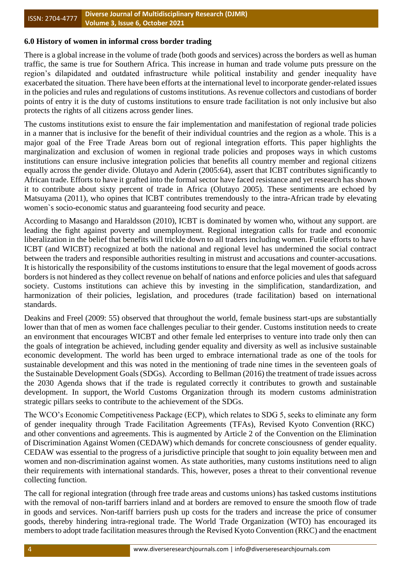#### ISSN: 2704-4777 **Diverse Journal of Multidisciplinary Research (DJMR) Volume 3, Issue 6, October 2021**

## **6.0 History of women in informal cross border trading**

There is a global increase in the volume of trade (both goods and services) across the borders as well as human traffic, the same is true for Southern Africa. This increase in human and trade volume puts pressure on the region's dilapidated and outdated infrastructure while political instability and gender inequality have exacerbated the situation. There have been efforts at the international level to incorporate gender-related issues in the policies and rules and regulations of customs institutions. As revenue collectors and custodians of border points of entry it is the duty of customs institutions to ensure trade facilitation is not only inclusive but also protects the rights of all citizens across gender lines.

The customs institutions exist to ensure the fair implementation and manifestation of regional trade policies in a manner that is inclusive for the benefit of their individual countries and the region as a whole. This is a major goal of the Free Trade Areas born out of regional integration efforts. This paper highlights the marginalization and exclusion of women in regional trade policies and proposes ways in which customs institutions can ensure inclusive integration policies that benefits all country member and regional citizens equally across the gender divide. Olutayo and Aderin (2005:64), assert that ICBT contributes significantly to African trade. Efforts to have it grafted into the formal sector have faced resistance and yet research has shown it to contribute about sixty percent of trade in Africa (Olutayo 2005). These sentiments are echoed by Matsuyama (2011), who opines that ICBT contributes tremendously to the intra-African trade by elevating women`s socio-economic status and guaranteeing food security and peace.

According to Masango and Haraldsson (2010), ICBT is dominated by women who, without any support. are leading the fight against poverty and unemployment. Regional integration calls for trade and economic liberalization in the belief that benefits will trickle down to all traders including women. Futile efforts to have ICBT (and WICBT) recognized at both the national and regional level has undermined the social contract between the traders and responsible authorities resulting in mistrust and accusations and counter-accusations. It is historically the responsibility of the customs institutions to ensure that the legal movement of goods across borders is not hindered as they collect revenue on behalf of nations and enforce policies and ules that safeguard society. Customs institutions can achieve this by investing in the simplification, standardization, and harmonization of their policies, legislation, and procedures (trade facilitation) based on international standards.

Deakins and Freel (2009: 55) observed that throughout the world, female business start-ups are substantially lower than that of men as women face challenges peculiar to their gender. Customs institution needs to create an environment that encourages WICBT and other female led enterprises to venture into trade only then can the goals of integration be achieved, including gender equality and diversity as well as inclusive sustainable economic development. The world has been urged to embrace international trade as one of the tools for sustainable development and this was noted in the mentioning of trade nine times in the seventeen goals of the Sustainable Development Goals (SDGs). According to Bellman (2016) the treatment of trade issues across the 2030 Agenda shows that if the trade is regulated correctly it contributes to growth and sustainable development. In support, the World Customs Organization through its modern customs administration strategic pillars seeks to contribute to the achievement of the SDGs.

The WCO's Economic Competitiveness Package (ECP), which relates to SDG 5, seeks to eliminate any form of gender inequality through Trade Facilitation Agreements (TFAs), Revised Kyoto Convention (RKC) and other conventions and agreements. This is augmented by Article 2 of the Convention on the Elimination of Discrimination Against Women (CEDAW) which demands for concrete consciousness of gender equality. CEDAW was essential to the progress of a jurisdictive principle that sought to join equality between men and women and non-discrimination against women. As state authorities, many customs institutions need to align their requirements with international standards. This, however, poses a threat to their conventional revenue collecting function.

The call for regional integration (through free trade areas and customs unions) has tasked customs institutions with the removal of non-tariff barriers inland and at borders are removed to ensure the smooth flow of trade in goods and services. Non-tariff barriers push up costs for the traders and increase the price of consumer goods, thereby hindering intra-regional trade. The World Trade Organization (WTO) has encouraged its members to adopt trade facilitation measures through the Revised Kyoto Convention (RKC) and the enactment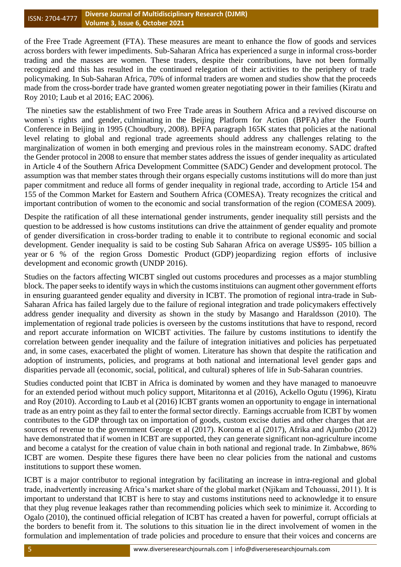#### ISSN: 2704-4777 **Diverse Journal of Multidisciplinary Research (DJMR) Volume 3, Issue 6, October 2021**

of the Free Trade Agreement (FTA). These measures are meant to enhance the flow of goods and services across borders with fewer impediments. Sub-Saharan Africa has experienced a surge in informal cross-border trading and the masses are women. These traders, despite their contributions, have not been formally recognized and this has resulted in the continued relegation of their activities to the periphery of trade policymaking. In Sub-Saharan Africa, 70% of informal traders are women and studies show that the proceeds made from the cross-border trade have granted women greater negotiating power in their families (Kiratu and Roy 2010; Laub et al 2016; EAC 2006).

The nineties saw the establishment of two Free Trade areas in Southern Africa and a revived discourse on women`s rights and gender, culminating in the Beijing Platform for Action (BPFA) after the Fourth Conference in Beijing in 1995 (Choudbury, 2008). BPFA paragraph 165K states that policies at the national level relating to global and regional trade agreements should address any challenges relating to the marginalization of women in both emerging and previous roles in the mainstream economy. SADC drafted the Gender protocol in 2008 to ensure that member states address the issues of gender inequality as articulated in Article 4 of the Southern Africa Development Committee (SADC) Gender and development protocol. The assumption was that member states through their organs especially customs institutions will do more than just paper commitment and reduce all forms of gender inequality in regional trade, according to Article 154 and 155 of the Common Market for Eastern and Southern Africa (COMESA). Treaty recognizes the critical and important contribution of women to the economic and social transformation of the region (COMESA 2009).

Despite the ratification of all these international gender instruments, gender inequality still persists and the question to be addressed is how customs institutions can drive the attainment of gender equality and promote of gender diversification in cross-border trading to enable it to contribute to regional economic and social development. Gender inequality is said to be costing Sub Saharan Africa on average US\$95- 105 billion a year or 6 % of the region Gross Domestic Product (GDP) jeopardizing region efforts of inclusive development and economic growth (UNDP 2016).

Studies on the factors affecting WICBT singled out customs procedures and processes as a major stumbling block. The paper seeks to identify ways in which the customs instituions can augment other government efforts in ensuring guaranteed gender equality and diversity in ICBT. The promotion of regional intra-trade in Sub-Saharan Africa has failed largely due to the failure of regional integration and trade policymakers effectively address gender inequality and diversity as shown in the study by Masango and Haraldsson (2010). The implementation of regional trade policies is overseen by the customs institutions that have to respond, record and report accurate information on WICBT activities. The failure by customs institutions to identify the correlation between gender inequality and the failure of integration initiatives and policies has perpetuated and, in some cases, exacerbated the plight of women. Literature has shown that despite the ratification and adoption of instruments, policies, and programs at both national and international level gender gaps and disparities pervade all (economic, social, political, and cultural) spheres of life in Sub-Saharan countries.

Studies conducted point that ICBT in Africa is dominated by women and they have managed to manoeuvre for an extended period without much policy support, Mitaritonna et al (2016), Ackello Ogutu (1996), Kiratu and Roy (2010). According to Laub et al (2016) ICBT grants women an opportunity to engage in international trade as an entry point as they fail to enter the formal sector directly. Earnings accruable from ICBT by women contributes to the GDP through tax on importation of goods, custom excise duties and other charges that are sources of revenue to the government George et al (2017). Koroma et al (2017), Afrika and Ajumbo (2012) have demonstrated that if women in ICBT are supported, they can generate significant non-agriculture income and become a catalyst for the creation of value chain in both national and regional trade. In Zimbabwe, 86% ICBT are women. Despite these figures there have been no clear policies from the national and customs institutions to support these women.

ICBT is a major contributor to regional integration by facilitating an increase in intra-regional and global trade, inadvertently increasing Africa's market share of the global market (Njikam and Tchouassi, 2011). It is important to understand that ICBT is here to stay and customs institutions need to acknowledge it to ensure that they plug revenue leakages rather than recommending policies which seek to minimize it. According to Ogalo (2010), the continued official relegation of ICBT has created a haven for powerful, corrupt officials at the borders to benefit from it. The solutions to this situation lie in the direct involvement of women in the formulation and implementation of trade policies and procedure to ensure that their voices and concerns are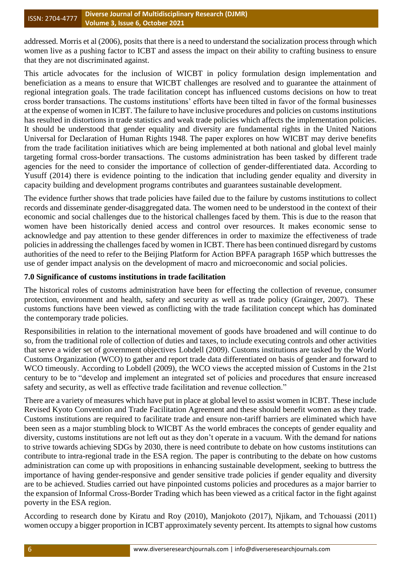addressed. Morris et al (2006), posits that there is a need to understand the socialization process through which women live as a pushing factor to ICBT and assess the impact on their ability to crafting business to ensure that they are not discriminated against.

This article advocates for the inclusion of WICBT in policy formulation design implementation and beneficiation as a means to ensure that WICBT challenges are resolved and to guarantee the attainment of regional integration goals. The trade facilitation concept has influenced customs decisions on how to treat cross border transactions. The customs institutions' efforts have been tilted in favor of the formal businesses at the expense of women in ICBT. The failure to have inclusive procedures and policies on customs institutions has resulted in distortions in trade statistics and weak trade policies which affects the implementation policies. It should be understood that gender equality and diversity are fundamental rights in the United Nations Universal for Declaration of Human Rights 1948. The paper explores on how WICBT may derive benefits from the trade facilitation initiatives which are being implemented at both national and global level mainly targeting formal cross-border transactions. The customs administration has been tasked by different trade agencies for the need to consider the importance of collection of gender-differentiated data. According to Yusuff (2014) there is evidence pointing to the indication that including gender equality and diversity in capacity building and development programs contributes and guarantees sustainable development.

The evidence further shows that trade policies have failed due to the failure by customs institutions to collect records and disseminate gender-disaggregated data. The women need to be understood in the context of their economic and social challenges due to the historical challenges faced by them. This is due to the reason that women have been historically denied access and control over resources. It makes economic sense to acknowledge and pay attention to these gender differences in order to maximize the effectiveness of trade policies in addressing the challenges faced by women in ICBT. There has been continued disregard by customs authorities of the need to refer to the Beijing Platform for Action BPFA paragraph 165P which buttresses the use of gender impact analysis on the development of macro and microeconomic and social policies.

## **7.0 Significance of customs institutions in trade facilitation**

The historical roles of customs administration have been for effecting the collection of revenue, consumer protection, environment and health, safety and security as well as trade policy (Grainger, 2007). These customs functions have been viewed as conflicting with the trade facilitation concept which has dominated the contemporary trade policies.

Responsibilities in relation to the international movement of goods have broadened and will continue to do so, from the traditional role of collection of duties and taxes, to include executing controls and other activities that serve a wider set of government objectives Lobdell (2009). Customs institutions are tasked by the World Customs Organization (WCO) to gather and report trade data differentiated on basis of gender and forward to WCO timeously. According to Lobdell (2009), the WCO views the accepted mission of Customs in the 21st century to be to "develop and implement an integrated set of policies and procedures that ensure increased safety and security, as well as effective trade facilitation and revenue collection."

There are a variety of measures which have put in place at global level to assist women in ICBT. These include Revised Kyoto Convention and Trade Facilitation Agreement and these should benefit women as they trade. Customs institutions are required to facilitate trade and ensure non-tariff barriers are eliminated which have been seen as a major stumbling block to WICBT As the world embraces the concepts of gender equality and diversity, customs institutions are not left out as they don't operate in a vacuum. With the demand for nations to strive towards achieving SDGs by 2030, there is need contribute to debate on how customs institutions can contribute to intra-regional trade in the ESA region. The paper is contributing to the debate on how customs administration can come up with propositions in enhancing sustainable development, seeking to buttress the importance of having gender-responsive and gender sensitive trade policies if gender equality and diversity are to be achieved. Studies carried out have pinpointed customs policies and procedures as a major barrier to the expansion of Informal Cross-Border Trading which has been viewed as a critical factor in the fight against poverty in the ESA region.

According to research done by Kiratu and Roy (2010), Manjokoto (2017), Njikam, and Tchouassi (2011) women occupy a bigger proportion in ICBT approximately seventy percent. Its attempts to signal how customs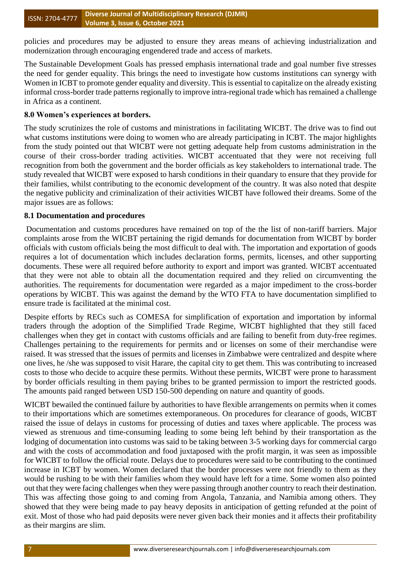policies and procedures may be adjusted to ensure they areas means of achieving industrialization and modernization through encouraging engendered trade and access of markets.

The Sustainable Development Goals has pressed emphasis international trade and goal number five stresses the need for gender equality. This brings the need to investigate how customs institutions can synergy with Women in ICBT to promote gender equality and diversity. This is essential to capitalize on the already existing informal cross-border trade patterns regionally to improve intra-regional trade which has remained a challenge in Africa as a continent.

#### **8.0 Women's experiences at borders.**

The study scrutinizes the role of customs and ministrations in facilitating WICBT. The drive was to find out what customs institutions were doing to women who are already participating in ICBT. The major highlights from the study pointed out that WICBT were not getting adequate help from customs administration in the course of their cross-border trading activities. WICBT accentuated that they were not receiving full recognition from both the government and the border officials as key stakeholders to international trade. The study revealed that WICBT were exposed to harsh conditions in their quandary to ensure that they provide for their families, whilst contributing to the economic development of the country. It was also noted that despite the negative publicity and criminalization of their activities WICBT have followed their dreams. Some of the major issues are as follows:

## **8.1 Documentation and procedures**

Documentation and customs procedures have remained on top of the the list of non-tariff barriers. Major complaints arose from the WICBT pertaining the rigid demands for documentation from WICBT by border officials with custom officials being the most difficult to deal with. The importation and exportation of goods requires a lot of documentation which includes declaration forms, permits, licenses, and other supporting documents. These were all required before authority to export and import was granted. WICBT accentuated that they were not able to obtain all the documentation required and they relied on circumventing the authorities. The requirements for documentation were regarded as a major impediment to the cross-border operations by WICBT. This was against the demand by the WTO FTA to have documentation simplified to ensure trade is facilitated at the minimal cost.

Despite efforts by RECs such as COMESA for simplification of exportation and importation by informal traders through the adoption of the Simplified Trade Regime, WICBT highlighted that they still faced challenges when they get in contact with customs officials and are failing to benefit from duty-free regimes. Challenges pertaining to the requirements for permits and or licenses on some of their merchandise were raised. It was stressed that the issues of permits and licenses in Zimbabwe were centralized and despite where one lives, he /she was supposed to visit Harare, the capital city to get them. This was contributing to increased costs to those who decide to acquire these permits. Without these permits, WICBT were prone to harassment by border officials resulting in them paying bribes to be granted permission to import the restricted goods. The amounts paid ranged between USD 150-500 depending on nature and quantity of goods.

WICBT bewailed the continued failure by authorities to have flexible arrangements on permits when it comes to their importations which are sometimes extemporaneous. On procedures for clearance of goods, WICBT raised the issue of delays in customs for processing of duties and taxes where applicable. The process was viewed as strenuous and time-consuming leading to some being left behind by their transportation as the lodging of documentation into customs was said to be taking between 3-5 working days for commercial cargo and with the costs of accommodation and food juxtaposed with the profit margin, it was seen as impossible for WICBT to follow the official route. Delays due to procedures were said to be contributing to the continued increase in ICBT by women. Women declared that the border processes were not friendly to them as they would be rushing to be with their families whom they would have left for a time. Some women also pointed out that they were facing challenges when they were passing through another country to reach their destination. This was affecting those going to and coming from Angola, Tanzania, and Namibia among others. They showed that they were being made to pay heavy deposits in anticipation of getting refunded at the point of exit. Most of those who had paid deposits were never given back their monies and it affects their profitability as their margins are slim.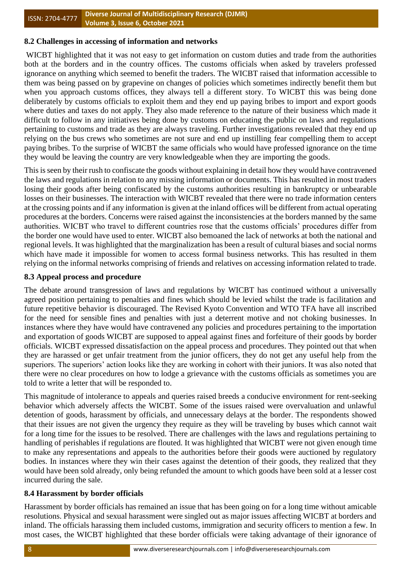## **8.2 Challenges in accessing of information and networks**

WICBT highlighted that it was not easy to get information on custom duties and trade from the authorities both at the borders and in the country offices. The customs officials when asked by travelers professed ignorance on anything which seemed to benefit the traders. The WICBT raised that information accessible to them was being passed on by grapevine on changes of policies which sometimes indirectly benefit them but when you approach customs offices, they always tell a different story. To WICBT this was being done deliberately by customs officials to exploit them and they end up paying bribes to import and export goods where duties and taxes do not apply. They also made reference to the nature of their business which made it difficult to follow in any initiatives being done by customs on educating the public on laws and regulations pertaining to customs and trade as they are always traveling. Further investigations revealed that they end up relying on the bus crews who sometimes are not sure and end up instilling fear compelling them to accept paying bribes. To the surprise of WICBT the same officials who would have professed ignorance on the time they would be leaving the country are very knowledgeable when they are importing the goods.

This is seen by their rush to confiscate the goods without explaining in detail how they would have contravened the laws and regulations in relation to any missing information or documents. This has resulted in most traders losing their goods after being confiscated by the customs authorities resulting in bankruptcy or unbearable losses on their businesses. The interaction with WICBT revealed that there were no trade information centers at the crossing points and if any information is given at the inland offices will be different from actual operating procedures at the borders. Concerns were raised against the inconsistencies at the borders manned by the same authorities. WICBT who travel to different countries rose that the customs officials' procedures differ from the border one would have used to enter. WICBT also bemoaned the lack of networks at both the national and regional levels. It was highlighted that the marginalization has been a result of cultural biases and social norms which have made it impossible for women to access formal business networks. This has resulted in them relying on the informal networks comprising of friends and relatives on accessing information related to trade.

## **8.3 Appeal process and procedure**

The debate around transgression of laws and regulations by WICBT has continued without a universally agreed position pertaining to penalties and fines which should be levied whilst the trade is facilitation and future repetitive behavior is discouraged. The Revised Kyoto Convention and WTO TFA have all inscribed for the need for sensible fines and penalties with just a deterrent motive and not choking businesses. In instances where they have would have contravened any policies and procedures pertaining to the importation and exportation of goods WICBT are supposed to appeal against fines and forfeiture of their goods by border officials. WICBT expressed dissatisfaction on the appeal process and procedures. They pointed out that when they are harassed or get unfair treatment from the junior officers, they do not get any useful help from the superiors. The superiors' action looks like they are working in cohort with their juniors. It was also noted that there were no clear procedures on how to lodge a grievance with the customs officials as sometimes you are told to write a letter that will be responded to.

This magnitude of intolerance to appeals and queries raised breeds a conducive environment for rent-seeking behavior which adversely affects the WICBT. Some of the issues raised were overvaluation and unlawful detention of goods, harassment by officials, and unnecessary delays at the border. The respondents showed that their issues are not given the urgency they require as they will be traveling by buses which cannot wait for a long time for the issues to be resolved. There are challenges with the laws and regulations pertaining to handling of perishables if regulations are flouted. It was highlighted that WICBT were not given enough time to make any representations and appeals to the authorities before their goods were auctioned by regulatory bodies. In instances where they win their cases against the detention of their goods, they realized that they would have been sold already, only being refunded the amount to which goods have been sold at a lesser cost incurred during the sale.

## **8.4 Harassment by border officials**

Harassment by border officials has remained an issue that has been going on for a long time without amicable resolutions. Physical and sexual harassment were singled out as major issues affecting WICBT at borders and inland. The officials harassing them included customs, immigration and security officers to mention a few. In most cases, the WICBT highlighted that these border officials were taking advantage of their ignorance of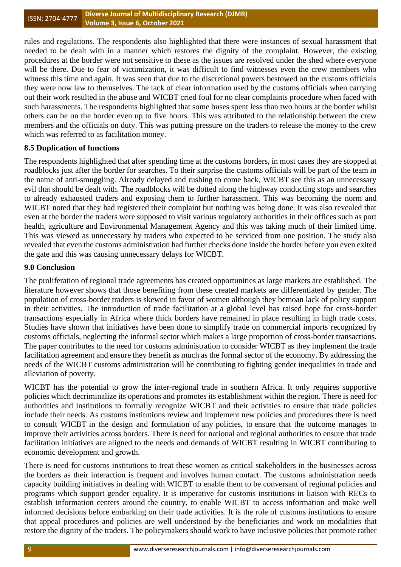rules and regulations. The respondents also highlighted that there were instances of sexual harassment that needed to be dealt with in a manner which restores the dignity of the complaint. However, the existing procedures at the border were not sensitive to these as the issues are resolved under the shed where everyone will be there. Due to fear of victimization, it was difficult to find witnesses even the crew members who witness this time and again. It was seen that due to the discretional powers bestowed on the customs officials they were now law to themselves. The lack of clear information used by the customs officials when carrying out their work resulted in the abuse and WICBT cried foul for no clear complaints procedure when faced with such harassments. The respondents highlighted that some buses spent less than two hours at the border whilst others can be on the border even up to five hours. This was attributed to the relationship between the crew members and the officials on duty. This was putting pressure on the traders to release the money to the crew which was referred to as facilitation money.

## **8.5 Duplication of functions**

The respondents highlighted that after spending time at the customs borders, in most cases they are stopped at roadblocks just after the border for searches. To their surprise the customs officials will be part of the team in the name of anti-smuggling. Already delayed and rushing to come back, WICBT see this as an unnecessary evil that should be dealt with. The roadblocks will be dotted along the highway conducting stops and searches to already exhausted traders and exposing them to further harassment. This was becoming the norm and WICBT noted that they had registered their complaint but nothing was being done. It was also revealed that even at the border the traders were supposed to visit various regulatory authorities in their offices such as port health, agriculture and Environmental Management Agency and this was taking much of their limited time. This was viewed as unnecessary by traders who expected to be serviced from one position. The study also revealed that even the customs administration had further checks done inside the border before you even exited the gate and this was causing unnecessary delays for WICBT.

## **9.0 Conclusion**

The proliferation of regional trade agreements has created opportunities as large markets are established. The literature however shows that those benefiting from these created markets are differentiated by gender. The population of cross-border traders is skewed in favor of women although they bemoan lack of policy support in their activities. The introduction of trade facilitation at a global level has raised hope for cross-border transactions especially in Africa where thick borders have remained in place resulting in high trade costs. Studies have shown that initiatives have been done to simplify trade on commercial imports recognized by customs officials, neglecting the informal sector which makes a large proportion of cross-border transactions. The paper contributes to the need for customs administration to consider WICBT as they implement the trade facilitation agreement and ensure they benefit as much as the formal sector of the economy. By addressing the needs of the WICBT customs administration will be contributing to fighting gender inequalities in trade and alleviation of poverty.

WICBT has the potential to grow the inter-regional trade in southern Africa. It only requires supportive policies which decriminalize its operations and promotes its establishment within the region. There is need for authorities and institutions to formally recognize WICBT and their activities to ensure that trade policies include their needs. As customs institutions review and implement new policies and procedures there is need to consult WICBT in the design and formulation of any policies, to ensure that the outcome manages to improve their activities across borders. There is need for national and regional authorities to ensure that trade facilitation initiatives are aligned to the needs and demands of WICBT resulting in WICBT contributing to economic development and growth.

There is need for customs institutions to treat these women as critical stakeholders in the businesses across the borders as their interaction is frequent and involves human contact. The customs administration needs capacity building initiatives in dealing with WICBT to enable them to be conversant of regional policies and programs which support gender equality. It is imperative for customs institutions in liaison with RECs to establish information centers around the country, to enable WICBT to access information and make well informed decisions before embarking on their trade activities. It is the role of customs institutions to ensure that appeal procedures and policies are well understood by the beneficiaries and work on modalities that restore the dignity of the traders. The policymakers should work to have inclusive policies that promote rather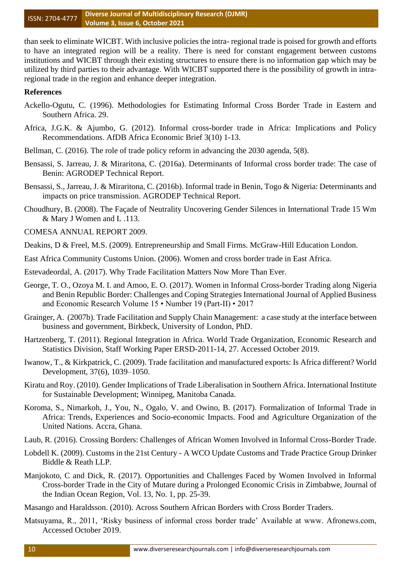than seek to eliminate WICBT. With inclusive policies the intra- regional trade is poised for growth and efforts to have an integrated region will be a reality. There is need for constant engagement between customs institutions and WICBT through their existing structures to ensure there is no information gap which may be utilized by third parties to their advantage. With WICBT supported there is the possibility of growth in intraregional trade in the region and enhance deeper integration.

## **References**

- Ackello-Ogutu, C. (1996). Methodologies for Estimating Informal Cross Border Trade in Eastern and Southern Africa. 29.
- Africa, J.G.K. & Ajumbo, G. (2012). Informal cross-border trade in Africa: Implications and Policy Recommendations. AfDB Africa Economic Brief 3(10) 1-13.
- Bellman, C. (2016). The role of trade policy reform in advancing the 2030 agenda, 5(8).
- Bensassi, S. Jarreau, J. & Miraritona, C. (2016a). Determinants of Informal cross border trade: The case of Benin: AGRODEP Technical Report.
- Bensassi, S., Jarreau, J. & Miraritona, C. (2016b). Informal trade in Benin, Togo & Nigeria: Determinants and impacts on price transmission. AGRODEP Technical Report.

Choudhury, B. (2008). The Façade of Neutrality Uncovering Gender Silences in International Trade 15 Wm & Mary J Women and L .113.

- COMESA ANNUAL REPORT 2009.
- Deakins, D & Freel, M.S. (2009). Entrepreneurship and Small Firms. McGraw-Hill Education London.
- East Africa Community Customs Union. (2006). Women and cross border trade in East Africa.
- Estevadeordal, A. (2017). Why Trade Facilitation Matters Now More Than Ever.
- George, T. O., Ozoya M. I. and Amoo, E. O. (2017). Women in Informal Cross-border Trading along Nigeria and Benin Republic Border: Challenges and Coping Strategies International Journal of Applied Business and Economic Research Volume 15 • Number 19 (Part-II) • 2017
- Grainger, A. (2007b). Trade Facilitation and Supply Chain Management: a case study at the interface between business and government, Birkbeck, University of London, PhD.
- Hartzenberg, T. (2011). Regional Integration in Africa. World Trade Organization, Economic Research and Statistics Division, Staff Working Paper ERSD-2011-14, 27. Accessed October 2019.
- Iwanow, T., & Kirkpatrick, C. (2009). Trade facilitation and manufactured exports: Is Africa different? World Development, 37(6), 1039–1050.
- Kiratu and Roy. (2010). Gender Implications of Trade Liberalisation in Southern Africa. International Institute for Sustainable Development; Winnipeg, Manitoba Canada.
- Koroma, S., Nimarkoh, J., You, N., Ogalo, V. and Owino, B. (2017). Formalization of Informal Trade in Africa: Trends, Experiences and Socio-economic Impacts. Food and Agriculture Organization of the United Nations. Accra, Ghana.
- Laub, R. (2016). Crossing Borders: Challenges of African Women Involved in Informal Cross-Border Trade.
- Lobdell K. (2009). Customs in the 21st Century A WCO Update Customs and Trade Practice Group Drinker Biddle & Reath LLP.
- Manjokoto, C and Dick, R. (2017). Opportunities and Challenges Faced by Women Involved in Informal Cross-border Trade in the City of Mutare during a Prolonged Economic Crisis in Zimbabwe, Journal of the Indian Ocean Region, Vol. 13, No. 1, pp. 25-39.
- Masango and Haraldsson. (2010). Across Southern African Borders with Cross Border Traders.
- Matsuyama, R., 2011, 'Risky business of informal cross border trade' Available at www. Afronews.com, Accessed October 2019.